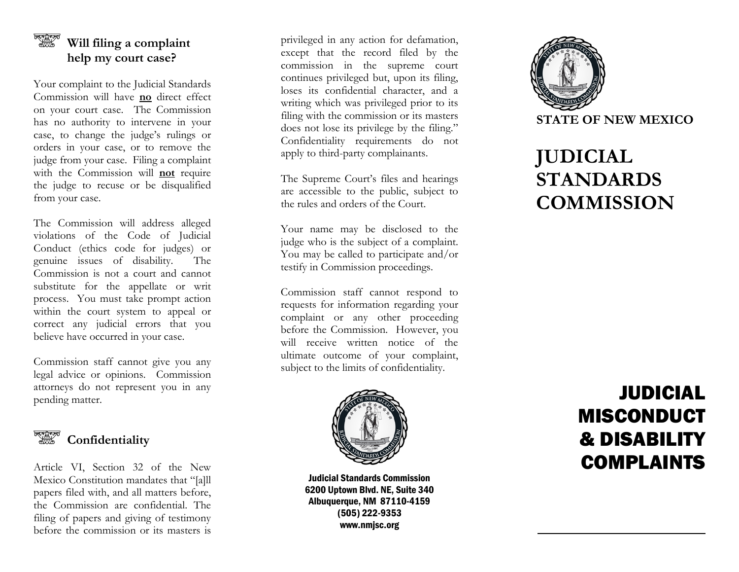#### <del>ৰৰ্</del>জ্জ্বলৈ<br>প্ৰানীত **Will filing a complaint help my court case ?**

Your complaint to the Judicial Standards Commission will have **no** direct effect on your court case. The Commission has no authority to intervene in your case , to change the judge's rulings or orders in your case, or to remove the judge from your case. Filing a complaint with the Commission will **not** require the judge to recuse or be disqualified from your case.

The Commission will address alleged violations of the Code of Judicial Conduct (ethics code for judges) or genuine issues of disability. The Commission is not a court and cannot substitute for the appellate or writ process. You must take prompt action within the court system to appeal or correct any judicial errors that you believe have occurred in your case.

Commission staff cannot give you any legal advice or opinions. Commission attorneys do not represent you in any pending matter .



Article VI, Section 32 of the New Mexico Constitution mandates that "[ a]ll papers filed with, and all matters before , the Commission are confidential . The filing of papers and giving of testimony before the commission or its masters is

privileged in any action for defamation, except that the record filed by the commission in the supreme court continues privileged but, upon its filing, loses its confidential character, and a writing which was privileged prior to its filing with the commission or its masters does not lose its privilege by the filing. " Confidentiality requirements do not apply to third - party complainants.

The Supreme Court's files and hearings are accessible to the public, subject to the rules and orders of the Court .

Your name may be disclosed to the judge who is the subject of a complaint. You may be called to participate and/or testify in Commission proceedings .

Commission staff cannot respond to requests for information regarding your complaint or any other proceeding before the Commission. However, you will receive written notice of the ultimate outcome of your complaint, subject to the limits of confidentiality.



Judicial Standards Commission 6200 Uptown Blvd. NE, Suite 3 4 0 Albuquerque, NM 87110 -4159 (505) 222 -9353 www.nmjsc.org



# **JUDICIAL STANDARDS COMMISSION**

## JUDICIAL MISCONDUCT & DISABILITY COMPLAINTS